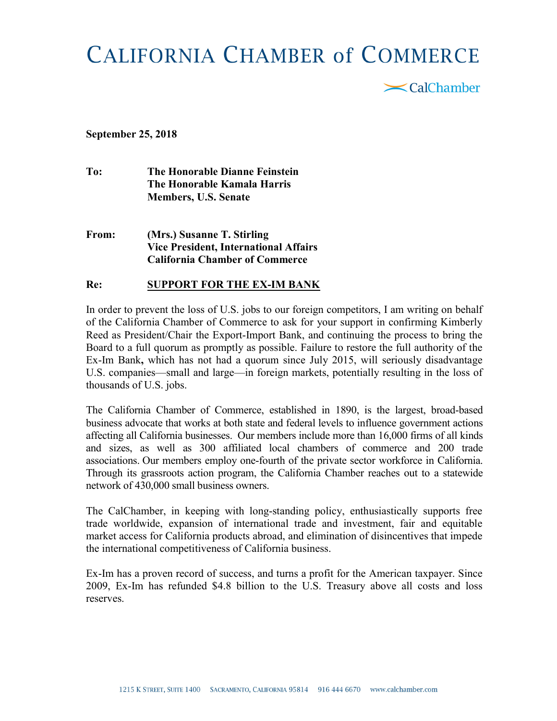## **CALIFORNIA CHAMBER of COMMERCE**

 $\mathbf{\le}$ CalChamber

September 25, 2018

To: The Honorable Dianne Feinstein The Honorable Kamala Harris Members, U.S. Senate

From: (Mrs.) Susanne T. Stirling Vice President, International Affairs California Chamber of Commerce

## Re: SUPPORT FOR THE EX-IM BANK

In order to prevent the loss of U.S. jobs to our foreign competitors, I am writing on behalf of the California Chamber of Commerce to ask for your support in confirming Kimberly Reed as President/Chair the Export-Import Bank, and continuing the process to bring the Board to a full quorum as promptly as possible. Failure to restore the full authority of the Ex-Im Bank, which has not had a quorum since July 2015, will seriously disadvantage U.S. companies—small and large—in foreign markets, potentially resulting in the loss of thousands of U.S. jobs.

The California Chamber of Commerce, established in 1890, is the largest, broad-based business advocate that works at both state and federal levels to influence government actions affecting all California businesses. Our members include more than 16,000 firms of all kinds and sizes, as well as 300 affiliated local chambers of commerce and 200 trade associations. Our members employ one-fourth of the private sector workforce in California. Through its grassroots action program, the California Chamber reaches out to a statewide network of 430,000 small business owners.

The CalChamber, in keeping with long-standing policy, enthusiastically supports free trade worldwide, expansion of international trade and investment, fair and equitable market access for California products abroad, and elimination of disincentives that impede the international competitiveness of California business.

Ex-Im has a proven record of success, and turns a profit for the American taxpayer. Since 2009, Ex-Im has refunded \$4.8 billion to the U.S. Treasury above all costs and loss reserves.